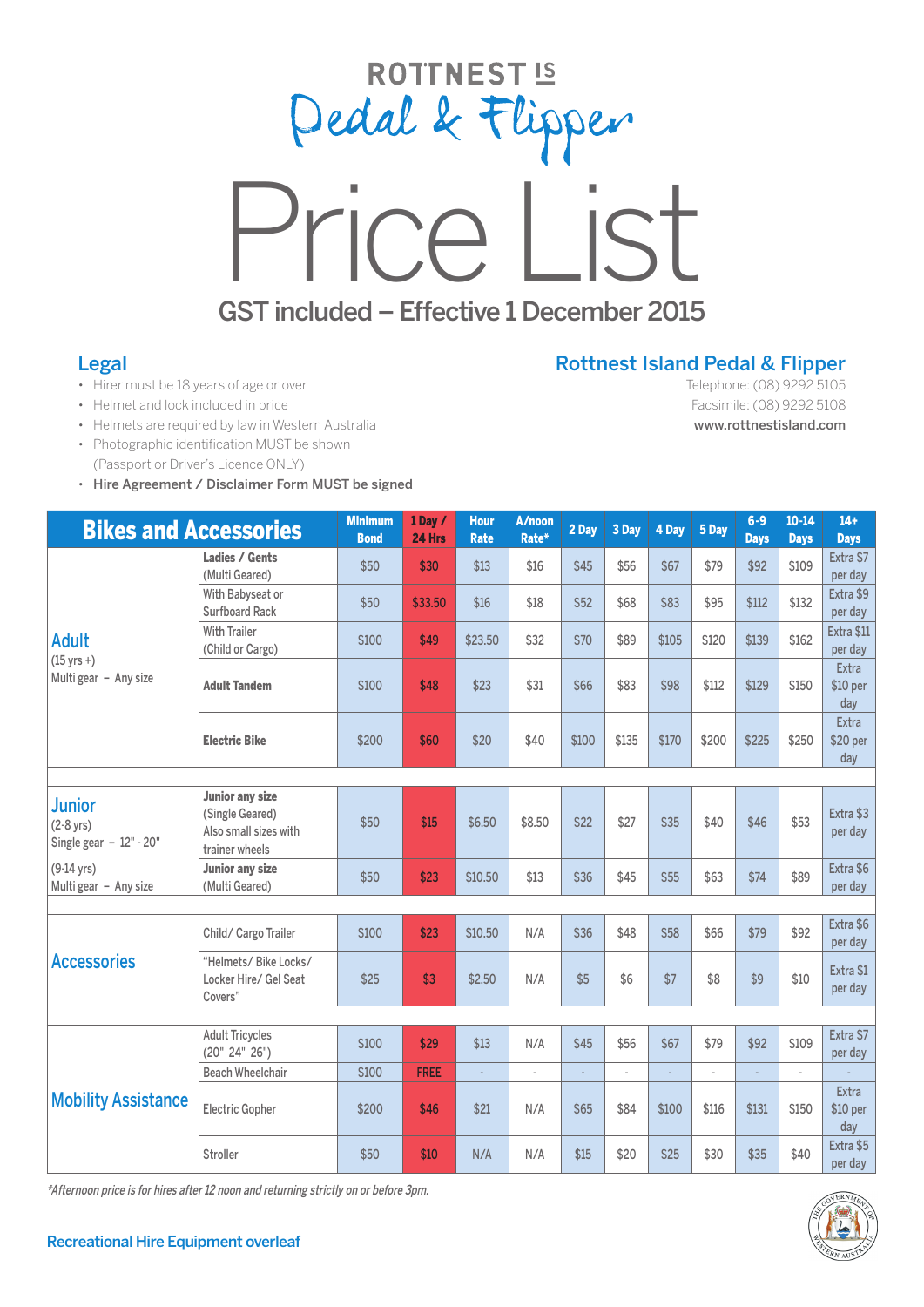



## Legal

- Hirer must be 18 years of age or over
- Helmet and lock included in price
- Helmets are required by law in Western Australia
- Photographic identification MUST be shown (Passport or Driver's Licence ONLY)
- Hire Agreement / Disclaimer Form MUST be signed

## Rottnest Island Pedal & Flipper

Telephone: (08) 9292 5105 Facsimile: (08) 9292 5108 www.rottnestisland.com

| <b>Bikes and Accessories</b>                                   |                                                                                      | <b>Minimum</b><br><b>Bond</b> | 1 Day /<br>24 Hrs | <b>Hour</b><br><b>Rate</b> | A/noon<br>Rate* | 2 Day | 3 Day          | 4 Day | 5 Day | $6 - 9$<br><b>Days</b> | $10 - 14$<br><b>Davs</b> | $14+$<br><b>Days</b>     |
|----------------------------------------------------------------|--------------------------------------------------------------------------------------|-------------------------------|-------------------|----------------------------|-----------------|-------|----------------|-------|-------|------------------------|--------------------------|--------------------------|
| <b>Adult</b><br>$(15 \text{ yrs} + )$<br>Multi gear - Any size | Ladies / Gents<br>(Multi Geared)                                                     | \$50                          | \$30              | \$13                       | \$16            | \$45  | \$56           | \$67  | \$79  | \$92                   | \$109                    | Extra \$7<br>per day     |
|                                                                | With Babyseat or<br><b>Surfboard Rack</b>                                            | \$50                          | \$33.50           | \$16                       | \$18            | \$52  | \$68           | \$83  | \$95  | \$112                  | \$132                    | Extra \$9<br>per day     |
|                                                                | <b>With Trailer</b><br>(Child or Cargo)                                              | \$100                         | \$49              | \$23.50                    | \$32            | \$70  | \$89           | \$105 | \$120 | \$139                  | \$162                    | Extra \$11<br>per day    |
|                                                                | <b>Adult Tandem</b>                                                                  | \$100                         | \$48              | \$23                       | \$31            | \$66  | \$83           | \$98  | \$112 | \$129                  | \$150                    | Extra<br>\$10 per<br>day |
|                                                                | <b>Electric Bike</b>                                                                 | \$200                         | \$60              | \$20                       | \$40            | \$100 | \$135          | \$170 | \$200 | \$225                  | \$250                    | Extra<br>\$20 per<br>day |
|                                                                |                                                                                      |                               |                   |                            |                 |       |                |       |       |                        |                          |                          |
| <b>Junior</b><br>$(2-8$ yrs)<br>Single gear $-12$ " - 20"      | <b>Junior any size</b><br>(Single Geared)<br>Also small sizes with<br>trainer wheels | \$50                          | \$15              | \$6.50                     | \$8.50          | \$22  | \$27           | \$35  | \$40  | \$46                   | \$53                     | Extra \$3<br>per day     |
| $(9-14$ yrs)<br>Multi gear - Any size                          | <b>Junior any size</b><br>(Multi Geared)                                             | \$50                          | \$23              | \$10.50                    | \$13            | \$36  | \$45           | \$55  | \$63  | \$74                   | \$89                     | Extra \$6<br>per day     |
|                                                                |                                                                                      |                               |                   |                            |                 |       |                |       |       |                        |                          | Extra \$6                |
| <b>Accessories</b>                                             | Child/ Cargo Trailer                                                                 | \$100                         | \$23              | \$10.50                    | N/A             | \$36  | \$48           | \$58  | \$66  | \$79                   | \$92                     | per day                  |
|                                                                | "Helmets/ Bike Locks/<br>Locker Hire/ Gel Seat<br>Covers"                            | \$25                          | \$3               | \$2.50                     | N/A             | \$5   | \$6            | \$7   | \$8   | \$9                    | \$10                     | Extra \$1<br>per day     |
|                                                                |                                                                                      |                               |                   |                            |                 |       |                |       |       |                        |                          |                          |
| <b>Mobility Assistance</b>                                     | <b>Adult Tricycles</b><br>(20" 24" 26")                                              | \$100                         | \$29              | \$13                       | N/A             | \$45  | \$56           | \$67  | \$79  | \$92                   | \$109                    | Extra \$7<br>per day     |
|                                                                | <b>Beach Wheelchair</b>                                                              | \$100                         | <b>FREE</b>       | L.                         | $\overline{a}$  |       | $\overline{a}$ |       | L.    |                        | ÷.                       |                          |
|                                                                | <b>Electric Gopher</b>                                                               | \$200                         | \$46              | \$21                       | N/A             | \$65  | \$84           | \$100 | \$116 | \$131                  | \$150                    | Extra<br>\$10 per<br>day |
|                                                                | Stroller                                                                             | \$50                          | \$10              | N/A                        | N/A             | \$15  | \$20           | \$25  | \$30  | \$35                   | \$40                     | Extra \$5<br>per day     |

\*Afternoon price is for hires after 12 noon and returning strictly on or before 3pm.